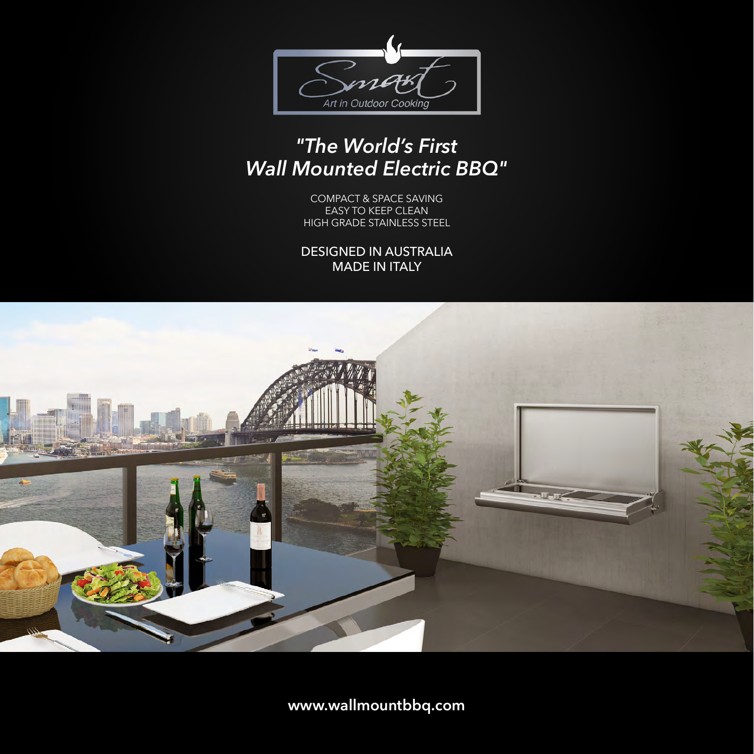

# *"The World's First Wall Mounted Electric BBQ"*

COMPACT & SPACE SAVING EASY TO KEEP CLEAN HIGH GRADE STAINLESS STEEL

DESIGNED IN AUSTRALIA MADE IN ITALY



**www.wallmountbbq.com**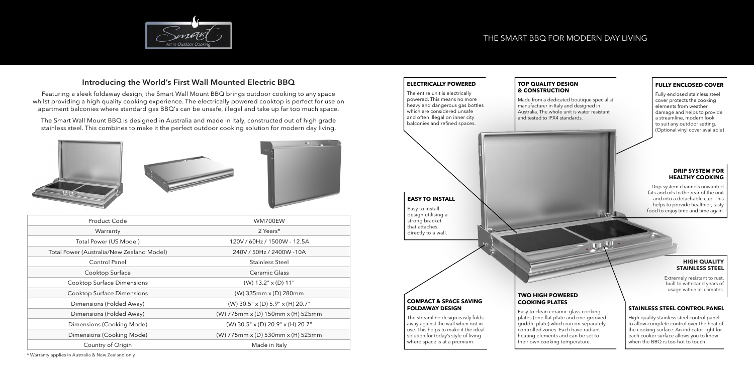# **FULLY ENCLOSED COVER**

Fully enclosed stainless steel cover protects the cooking elements from weather damage and helps to provide a streamline, modern look to suit any outdoor setting. (Optional vinyl cover available)

### **HIGH QUALITY STAINLESS STEEL**

Extremely resistant to rust, built to withstand years of usage within all climates.



## **STAINLESS STEEL CONTROL PANEL**

High quality stainless steel control panel to allow complete control over the heat of the cooking surface. An indicator light for each cooker surface allows you to know when the BBQ is too hot to touch.

ULUI-

# **DRIP SYSTEM FOR HEALTHY COOKING**

Drip system channels unwanted fats and oils to the rear of the unit and into a detachable cup. This helps to provide healthier, tasty food to enjoy time and time again.



| Product Code                              | WM700EW                             |
|-------------------------------------------|-------------------------------------|
| Warranty                                  | 2 Years*                            |
| Total Power (US Model)                    | 120V / 60Hz / 1500W - 12.5A         |
| Total Power (Australia/New Zealand Model) | 240V / 50Hz / 2400W -10A            |
| Control Panel                             | Stainless Steel                     |
| Cooktop Surface                           | Ceramic Glass                       |
| Cooktop Surface Dimensions                | $(W)$ 13.2" $\times$ (D) 11"        |
| Cooktop Surface Dimensions                | (W) 335mm x (D) 280mm               |
| Dimensions (Folded Away)                  | $(W)$ 30.5" x (D) 5.9" x (H) 20.7"  |
| Dimensions (Folded Away)                  | (W) 775mm x (D) 150mm x (H) 525mm   |
| Dimensions (Cooking Mode)                 | $(W)$ 30.5" x (D) 20.9" x (H) 20.7" |
| Dimensions (Cooking Mode)                 | (W) 775mm x (D) 530mm x (H) 525mm   |
| Country of Origin                         | Made in Italy                       |
|                                           |                                     |

# **Introducing the World's First Wall Mounted Electric BBQ**

Featuring a sleek foldaway design, the Smart Wall Mount BBQ brings outdoor cooking to any space whilst providing a high quality cooking experience. The electrically powered cooktop is perfect for use on apartment balconies where standard gas BBQ's can be unsafe, illegal and take up far too much space.

The Smart Wall Mount BBQ is designed in Australia and made in Italy, constructed out of high grade stainless steel. This combines to make it the perfect outdoor cooking solution for modern day living.







\* Warranty applies in Australia & New Zealand only